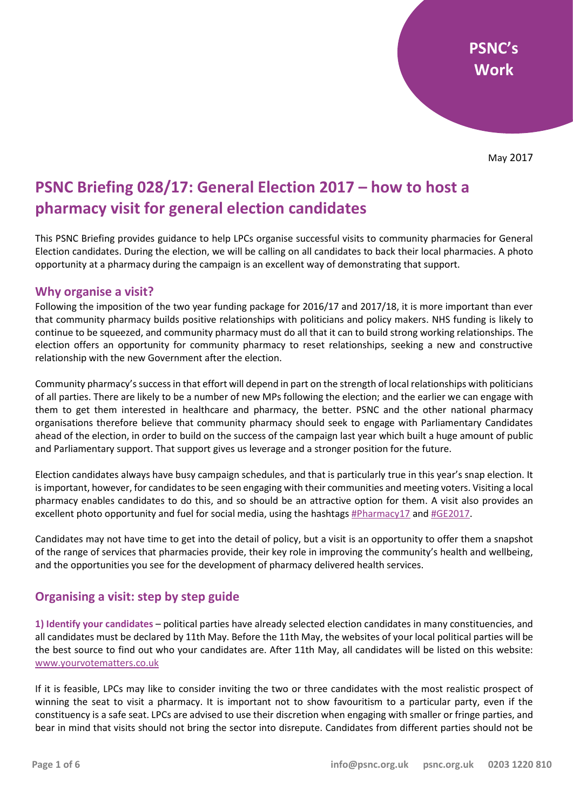# **PSNC Briefing 028/17: General Election 2017 – how to host a pharmacy visit for general election candidates**

This PSNC Briefing provides guidance to help LPCs organise successful visits to community pharmacies for General Election candidates. During the election, we will be calling on all candidates to back their local pharmacies. A photo opportunity at a pharmacy during the campaign is an excellent way of demonstrating that support.

### **Why organise a visit?**

Following the imposition of the two year funding package for 2016/17 and 2017/18, it is more important than ever that community pharmacy builds positive relationships with politicians and policy makers. NHS funding is likely to continue to be squeezed, and community pharmacy must do all that it can to build strong working relationships. The election offers an opportunity for community pharmacy to reset relationships, seeking a new and constructive relationship with the new Government after the election.

Community pharmacy's success in that effort will depend in part on the strength of local relationships with politicians of all parties. There are likely to be a number of new MPs following the election; and the earlier we can engage with them to get them interested in healthcare and pharmacy, the better. PSNC and the other national pharmacy organisations therefore believe that community pharmacy should seek to engage with Parliamentary Candidates ahead of the election, in order to build on the success of the campaign last year which built a huge amount of public and Parliamentary support. That support gives us leverage and a stronger position for the future.

Election candidates always have busy campaign schedules, and that is particularly true in this year's snap election. It is important, however, for candidates to be seen engaging with their communities and meeting voters. Visiting a local pharmacy enables candidates to do this, and so should be an attractive option for them. A visit also provides an excellent photo opportunity and fuel for social media, using the hashtags [#Pharmacy17](https://twitter.com/search?f=tweets&vertical=default&q=%23pharmacy17&src=typd) and [#GE2017.](https://twitter.com/search?f=tweets&vertical=news&q=%23GE2017&src=tyah)

Candidates may not have time to get into the detail of policy, but a visit is an opportunity to offer them a snapshot of the range of services that pharmacies provide, their key role in improving the community's health and wellbeing, and the opportunities you see for the development of pharmacy delivered health services.

### **Organising a visit: step by step guide**

**1) Identify your candidates** – political parties have already selected election candidates in many constituencies, and all candidates must be declared by 11th May. Before the 11th May, the websites of your local political parties will be the best source to find out who your candidates are. After 11th May, all candidates will be listed on this website: [www.yourvotematters.co.uk](http://www.yourvotematters.co.uk/)

If it is feasible, LPCs may like to consider inviting the two or three candidates with the most realistic prospect of winning the seat to visit a pharmacy. It is important not to show favouritism to a particular party, even if the constituency is a safe seat. LPCs are advised to use their discretion when engaging with smaller or fringe parties, and bear in mind that visits should not bring the sector into disrepute. Candidates from different parties should not be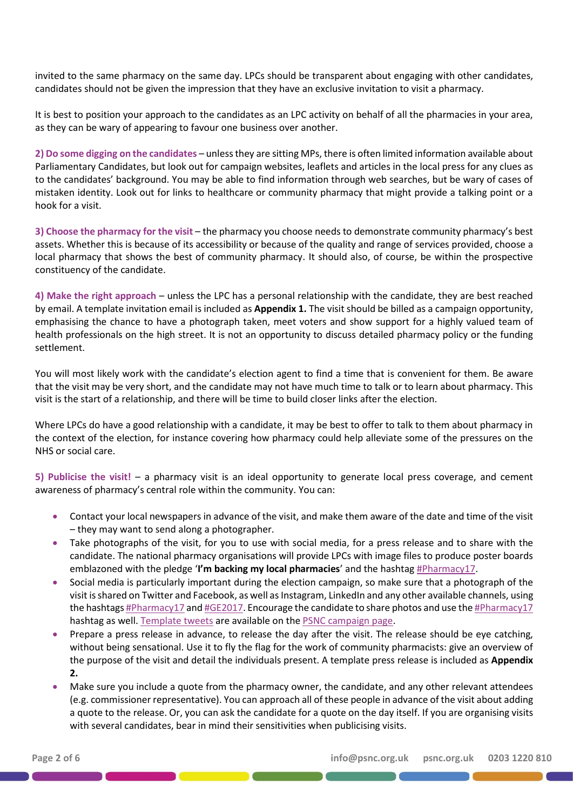invited to the same pharmacy on the same day. LPCs should be transparent about engaging with other candidates, candidates should not be given the impression that they have an exclusive invitation to visit a pharmacy.

It is best to position your approach to the candidates as an LPC activity on behalf of all the pharmacies in your area, as they can be wary of appearing to favour one business over another.

**2) Do some digging on the candidates** – unless they are sitting MPs, there is often limited information available about Parliamentary Candidates, but look out for campaign websites, leaflets and articles in the local press for any clues as to the candidates' background. You may be able to find information through web searches, but be wary of cases of mistaken identity. Look out for links to healthcare or community pharmacy that might provide a talking point or a hook for a visit.

**3) Choose the pharmacy for the visit** – the pharmacy you choose needs to demonstrate community pharmacy's best assets. Whether this is because of its accessibility or because of the quality and range of services provided, choose a local pharmacy that shows the best of community pharmacy. It should also, of course, be within the prospective constituency of the candidate.

**4) Make the right approach** – unless the LPC has a personal relationship with the candidate, they are best reached by email. A template invitation email is included as **Appendix 1.** The visit should be billed as a campaign opportunity, emphasising the chance to have a photograph taken, meet voters and show support for a highly valued team of health professionals on the high street. It is not an opportunity to discuss detailed pharmacy policy or the funding settlement.

You will most likely work with the candidate's election agent to find a time that is convenient for them. Be aware that the visit may be very short, and the candidate may not have much time to talk or to learn about pharmacy. This visit is the start of a relationship, and there will be time to build closer links after the election.

Where LPCs do have a good relationship with a candidate, it may be best to offer to talk to them about pharmacy in the context of the election, for instance covering how pharmacy could help alleviate some of the pressures on the NHS or social care.

**5) Publicise the visit!** – a pharmacy visit is an ideal opportunity to generate local press coverage, and cement awareness of pharmacy's central role within the community. You can:

- Contact your local newspapers in advance of the visit, and make them aware of the date and time of the visit – they may want to send along a photographer.
- Take photographs of the visit, for you to use with social media, for a press release and to share with the candidate. The national pharmacy organisations will provide LPCs with image files to produce poster boards emblazoned with the pledge '**I'm backing my local pharmacies**' and the hashtag [#Pharmacy17.](https://twitter.com/search?f=tweets&vertical=default&q=%23pharmacy17&src=typd)
- Social media is particularly important during the election campaign, so make sure that a photograph of the visit is shared on Twitter and Facebook, as well as Instagram, LinkedIn and any other available channels, using the hashtag[s #Pharmacy17](https://twitter.com/search?f=tweets&vertical=default&q=%23pharmacy17&src=typd) an[d #GE2017.](https://twitter.com/search?f=tweets&vertical=news&q=%23GE2017&src=tyah) Encourage the candidate to share photos and use th[e #Pharmacy17](https://twitter.com/search?f=tweets&vertical=default&q=%23pharmacy17&src=typd) hashtag as well. [Template tweets](http://psnc.org.uk/wp-content/uploads/2017/05/General-election-tweet-templates.docx) are available on th[e PSNC campaign page.](http://psnc.org.uk/psncs-work/communications-and-lobbying/community-pharmacy-in-201617-and-beyond/campaigning-resources/)
- Prepare a press release in advance, to release the day after the visit. The release should be eye catching, without being sensational. Use it to fly the flag for the work of community pharmacists: give an overview of the purpose of the visit and detail the individuals present. A template press release is included as **Appendix 2.**
- Make sure you include a quote from the pharmacy owner, the candidate, and any other relevant attendees (e.g. commissioner representative). You can approach all of these people in advance of the visit about adding a quote to the release. Or, you can ask the candidate for a quote on the day itself. If you are organising visits with several candidates, bear in mind their sensitivities when publicising visits.

<u> 1989 - Johann Barbara, martin a bhann an t-An Chomain an t-An Chomain an t-An Chomain an t-An Chomain an t-An</u>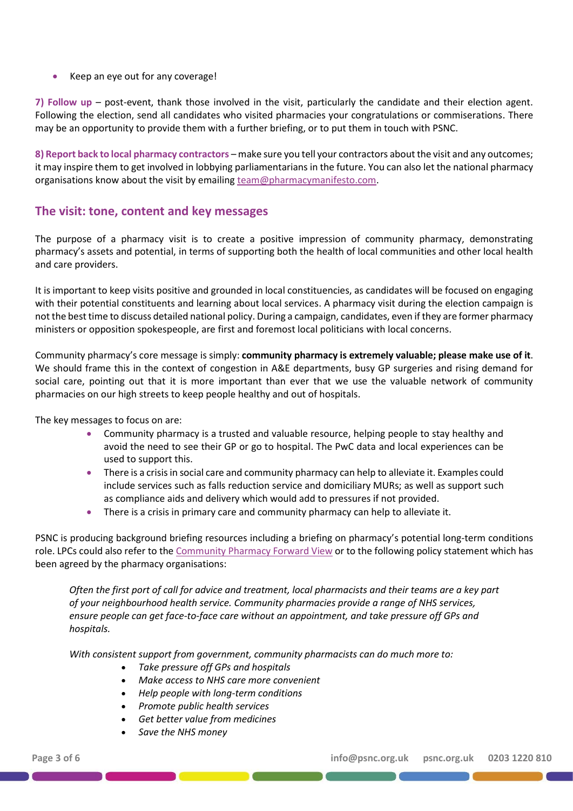• Keep an eye out for any coverage!

**7) Follow up** – post-event, thank those involved in the visit, particularly the candidate and their election agent. Following the election, send all candidates who visited pharmacies your congratulations or commiserations. There may be an opportunity to provide them with a further briefing, or to put them in touch with PSNC.

**8) Report back to local pharmacy contractors** – make sure you tell your contractors about the visit and any outcomes; it may inspire them to get involved in lobbying parliamentarians in the future. You can also let the national pharmacy organisations know about the visit by emailin[g team@pharmacymanifesto.com.](mailto:team@pharmacymanifesto.com)

# **The visit: tone, content and key messages**

The purpose of a pharmacy visit is to create a positive impression of community pharmacy, demonstrating pharmacy's assets and potential, in terms of supporting both the health of local communities and other local health and care providers.

It is important to keep visits positive and grounded in local constituencies, as candidates will be focused on engaging with their potential constituents and learning about local services. A pharmacy visit during the election campaign is not the best time to discuss detailed national policy. During a campaign, candidates, even if they are former pharmacy ministers or opposition spokespeople, are first and foremost local politicians with local concerns.

Community pharmacy's core message is simply: **community pharmacy is extremely valuable; please make use of it**. We should frame this in the context of congestion in A&E departments, busy GP surgeries and rising demand for social care, pointing out that it is more important than ever that we use the valuable network of community pharmacies on our high streets to keep people healthy and out of hospitals.

The key messages to focus on are:

- Community pharmacy is a trusted and valuable resource, helping people to stay healthy and avoid the need to see their GP or go to hospital. The PwC data and local experiences can be used to support this.
- There is a crisis in social care and community pharmacy can help to alleviate it. Examples could include services such as falls reduction service and domiciliary MURs; as well as support such as compliance aids and delivery which would add to pressures if not provided.
- There is a crisis in primary care and community pharmacy can help to alleviate it.

PSNC is producing background briefing resources including a briefing on pharmacy's potential long-term conditions role. LPCs could also refer to th[e Community Pharmacy Forward View](https://cpfv.info/) or to the following policy statement which has been agreed by the pharmacy organisations:

*Often the first port of call for advice and treatment, local pharmacists and their teams are a key part of your neighbourhood health service. Community pharmacies provide a range of NHS services, ensure people can get face-to-face care without an appointment, and take pressure off GPs and hospitals.* 

*With consistent support from government, community pharmacists can do much more to:*

- *Take pressure off GPs and hospitals*
- *Make access to NHS care more convenient*
- *Help people with long-term conditions*
- *Promote public health services*
- *Get better value from medicines*
- *Save the NHS money*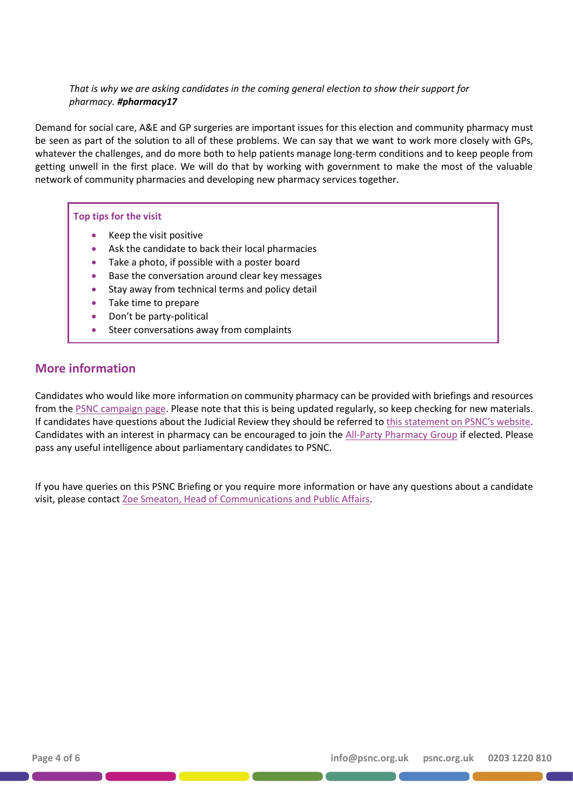### *That is why we are asking candidates in the coming general election to show their support for pharmacy. #pharmacy17*

Demand for social care, A&E and GP surgeries are important issues for this election and community pharmacy must be seen as part of the solution to all of these problems. We can say that we want to work more closely with GPs, whatever the challenges, and do more both to help patients manage long-term conditions and to keep people from getting unwell in the first place. We will do that by working with government to make the most of the valuable network of community pharmacies and developing new pharmacy services together.

### **Top tips for the visit**

- Keep the visit positive
- Ask the candidate to back their local pharmacies
- Take a photo, if possible with a poster board
- Base the conversation around clear key messages
- Stay away from technical terms and policy detail
- Take time to prepare
- Don't be party-political
- Steer conversations away from complaints

# **More information**

Candidates who would like more information on community pharmacy can be provided with briefings and resources from the [PSNC campaign page.](http://psnc.org.uk/psncs-work/communications-and-lobbying/community-pharmacy-in-201617-and-beyond/campaigning-resources/) Please note that this is being updated regularly, so keep checking for new materials. If candidates have questions about the Judicial Review they should be referred to this [statement on PSNC's website](https://psnc.org.uk/our-news/psnc-seeks-judicial-review-of-consultation-on-community-pharmacy/). Candidates with an interest in pharmacy can be encouraged to join the [All-Party Pharmacy Group](http://appg.org.uk/) if elected. Please pass any useful intelligence about parliamentary candidates to PSNC.

If you have queries on this PSNC Briefing or you require more information or have any questions about a candidate visit, please contact [Zoe Smeaton, Head of Communications and Public Affairs.](mailto:zoe.smeaton@psnc.org.uk)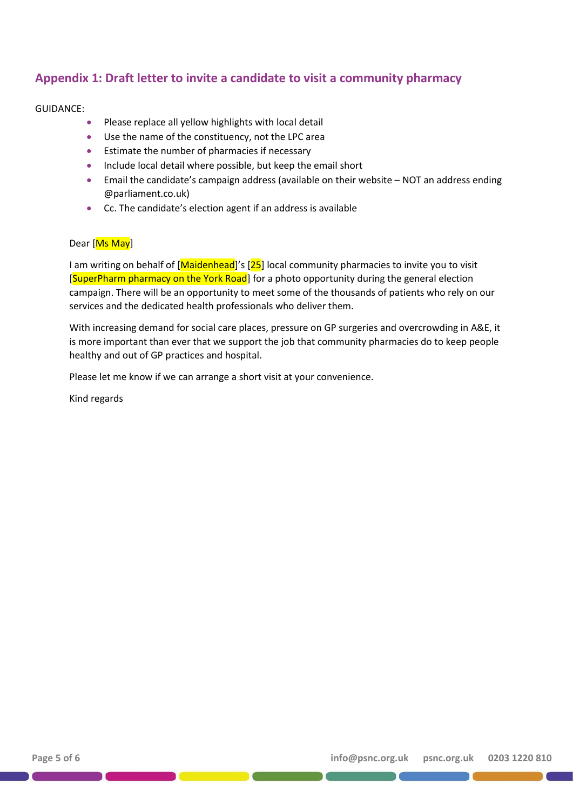# **Appendix 1: Draft letter to invite a candidate to visit a community pharmacy**

### GUIDANCE:

- Please replace all yellow highlights with local detail
- Use the name of the constituency, not the LPC area
- Estimate the number of pharmacies if necessary
- Include local detail where possible, but keep the email short
- Email the candidate's campaign address (available on their website NOT an address ending @parliament.co.uk)
- Cc. The candidate's election agent if an address is available

#### Dear [Ms May]

I am writing on behalf of [Maidenhead]'s [25] local community pharmacies to invite you to visit [SuperPharm pharmacy on the York Road] for a photo opportunity during the general election campaign. There will be an opportunity to meet some of the thousands of patients who rely on our services and the dedicated health professionals who deliver them.

With increasing demand for social care places, pressure on GP surgeries and overcrowding in A&E, it is more important than ever that we support the job that community pharmacies do to keep people healthy and out of GP practices and hospital.

Please let me know if we can arrange a short visit at your convenience.

Kind regards